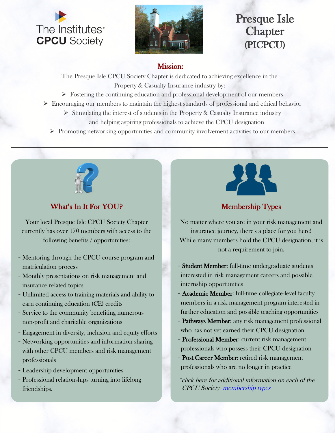



# Presque Isle **Chapter** (PICPCU)

#### Mission:

The Presque Isle CPCU Society Chapter is dedicated to achieving excellence in the Property & Casualty Insurance industry by:

- $\triangleright$  Fostering the continuing education and professional development of our members
- $\triangleright$  Encouraging our members to maintain the highest standards of professional and ethical behavior
	- $\triangleright$  Stimulating the interest of students in the Property & Casualty Insurance industry and helping aspiring professionals to achieve the CPCU designation
	- $\triangleright$  Promoting networking opportunities and community involvement activities to our members



## What's In It For YOU?

Your local Presque Isle CPCU Society Chapter currently has over 170 members with access to the following benefits / opportunities:

- Mentoring through the CPCU course program and matriculation process
- Monthly presentations on risk management and insurance related topics
- Unlimited access to training materials and ability to earn continuing education (CE) credits
- Service to the community benefiting numerous non-profit and charitable organizations
- Engagement in diversity, inclusion and equity efforts
- Networking opportunities and information sharing with other CPCU members and risk management professionals
- Leadership development opportunities
- Professional relationships turning into lifelong friendships.



## Membership Types

No matter where you are in your risk management and insurance journey, there's a place for you here! While many members hold the CPCU designation, it is not a requirement to join.

- Student Member: full-time undergraduate students interested in risk management careers and possible internship opportunities
- Academic Member: full-time collegiate-level faculty members in a risk management program interested in further education and possible teaching opportunities
- Pathways Member: any risk management professional who has not yet earned their CPCU designation
- Professional Member: current risk management professionals who possess their CPCU designation
- Post Career Member: retired risk management [professionals who are no longer in practice](https://www.cpcusociety.org/Public/Membership/Membership_Type.aspx?WebsiteKey=3e43cae3-62ea-4f60-b364-6e4dbe187584&hkey=f0877318-749e-4d9b-96e0-4a181480e78f&MemberTypes=1#MemberTypes)

\*click here for additional information on each of the CPCU Society [membership type](https://www.cpcusociety.org/Public/Membership/Membership_Type.aspx?WebsiteKey=3e43cae3-62ea-4f60-b364-6e4dbe187584&hkey=f0877318-749e-4d9b-96e0-4a181480e78f&MemberTypes=1#MemberTypes)s